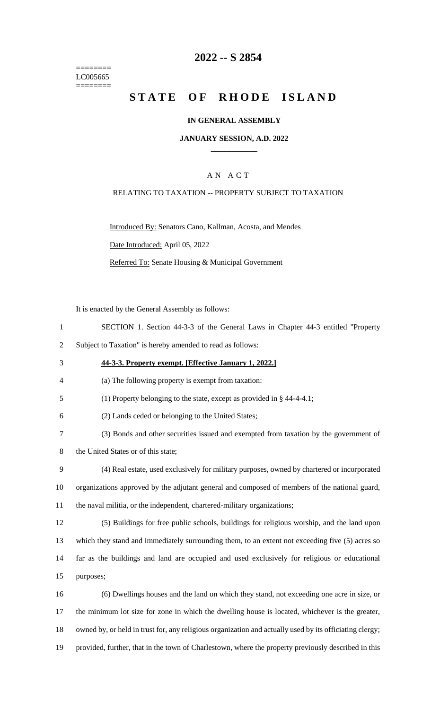======== LC005665 ========

### **2022 -- S 2854**

# **STATE OF RHODE ISLAND**

### **IN GENERAL ASSEMBLY**

#### **JANUARY SESSION, A.D. 2022 \_\_\_\_\_\_\_\_\_\_\_\_**

### A N A C T

#### RELATING TO TAXATION -- PROPERTY SUBJECT TO TAXATION

Introduced By: Senators Cano, Kallman, Acosta, and Mendes

Date Introduced: April 05, 2022

Referred To: Senate Housing & Municipal Government

It is enacted by the General Assembly as follows:

- 1 SECTION 1. Section 44-3-3 of the General Laws in Chapter 44-3 entitled "Property
- 2 Subject to Taxation" is hereby amended to read as follows:
- 3 **44-3-3. Property exempt. [Effective January 1, 2022.]**
- 4 (a) The following property is exempt from taxation:
- 5 (1) Property belonging to the state, except as provided in § 44-4-4.1;
- 6 (2) Lands ceded or belonging to the United States;
- 7 (3) Bonds and other securities issued and exempted from taxation by the government of
- 8 the United States or of this state;
- 9 (4) Real estate, used exclusively for military purposes, owned by chartered or incorporated 10 organizations approved by the adjutant general and composed of members of the national guard,
- 11 the naval militia, or the independent, chartered-military organizations;
- 12 (5) Buildings for free public schools, buildings for religious worship, and the land upon 13 which they stand and immediately surrounding them, to an extent not exceeding five (5) acres so 14 far as the buildings and land are occupied and used exclusively for religious or educational 15 purposes;
- 16 (6) Dwellings houses and the land on which they stand, not exceeding one acre in size, or 17 the minimum lot size for zone in which the dwelling house is located, whichever is the greater, 18 owned by, or held in trust for, any religious organization and actually used by its officiating clergy; 19 provided, further, that in the town of Charlestown, where the property previously described in this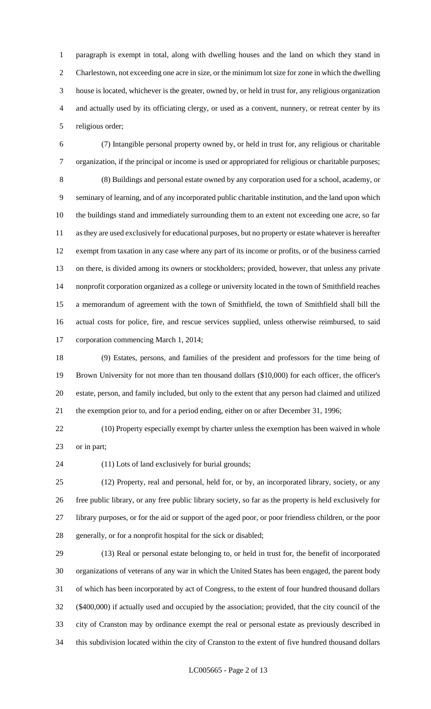paragraph is exempt in total, along with dwelling houses and the land on which they stand in Charlestown, not exceeding one acre in size, or the minimum lot size for zone in which the dwelling house is located, whichever is the greater, owned by, or held in trust for, any religious organization and actually used by its officiating clergy, or used as a convent, nunnery, or retreat center by its religious order;

 (7) Intangible personal property owned by, or held in trust for, any religious or charitable organization, if the principal or income is used or appropriated for religious or charitable purposes; (8) Buildings and personal estate owned by any corporation used for a school, academy, or seminary of learning, and of any incorporated public charitable institution, and the land upon which the buildings stand and immediately surrounding them to an extent not exceeding one acre, so far as they are used exclusively for educational purposes, but no property or estate whatever is hereafter exempt from taxation in any case where any part of its income or profits, or of the business carried on there, is divided among its owners or stockholders; provided, however, that unless any private nonprofit corporation organized as a college or university located in the town of Smithfield reaches a memorandum of agreement with the town of Smithfield, the town of Smithfield shall bill the actual costs for police, fire, and rescue services supplied, unless otherwise reimbursed, to said corporation commencing March 1, 2014;

 (9) Estates, persons, and families of the president and professors for the time being of Brown University for not more than ten thousand dollars (\$10,000) for each officer, the officer's estate, person, and family included, but only to the extent that any person had claimed and utilized the exemption prior to, and for a period ending, either on or after December 31, 1996;

 (10) Property especially exempt by charter unless the exemption has been waived in whole or in part;

(11) Lots of land exclusively for burial grounds;

 (12) Property, real and personal, held for, or by, an incorporated library, society, or any free public library, or any free public library society, so far as the property is held exclusively for library purposes, or for the aid or support of the aged poor, or poor friendless children, or the poor generally, or for a nonprofit hospital for the sick or disabled;

 (13) Real or personal estate belonging to, or held in trust for, the benefit of incorporated organizations of veterans of any war in which the United States has been engaged, the parent body of which has been incorporated by act of Congress, to the extent of four hundred thousand dollars (\$400,000) if actually used and occupied by the association; provided, that the city council of the city of Cranston may by ordinance exempt the real or personal estate as previously described in this subdivision located within the city of Cranston to the extent of five hundred thousand dollars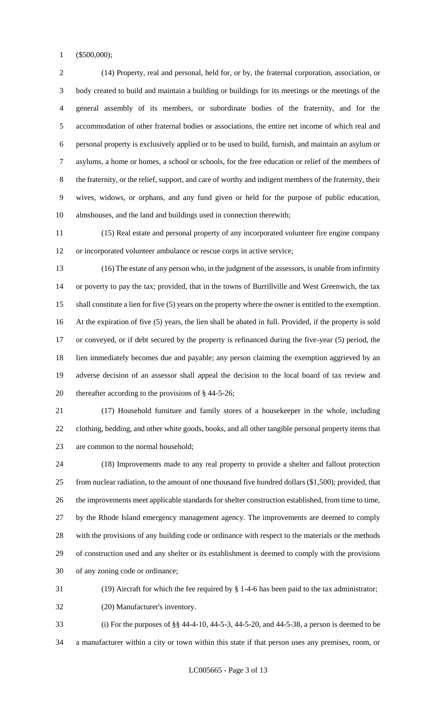(\$500,000);

 (14) Property, real and personal, held for, or by, the fraternal corporation, association, or body created to build and maintain a building or buildings for its meetings or the meetings of the general assembly of its members, or subordinate bodies of the fraternity, and for the accommodation of other fraternal bodies or associations, the entire net income of which real and personal property is exclusively applied or to be used to build, furnish, and maintain an asylum or asylums, a home or homes, a school or schools, for the free education or relief of the members of the fraternity, or the relief, support, and care of worthy and indigent members of the fraternity, their wives, widows, or orphans, and any fund given or held for the purpose of public education, almshouses, and the land and buildings used in connection therewith;

 (15) Real estate and personal property of any incorporated volunteer fire engine company or incorporated volunteer ambulance or rescue corps in active service;

 (16) The estate of any person who, in the judgment of the assessors, is unable from infirmity or poverty to pay the tax; provided, that in the towns of Burrillville and West Greenwich, the tax shall constitute a lien for five (5) years on the property where the owner is entitled to the exemption. At the expiration of five (5) years, the lien shall be abated in full. Provided, if the property is sold or conveyed, or if debt secured by the property is refinanced during the five-year (5) period, the lien immediately becomes due and payable; any person claiming the exemption aggrieved by an adverse decision of an assessor shall appeal the decision to the local board of tax review and thereafter according to the provisions of § 44-5-26;

 (17) Household furniture and family stores of a housekeeper in the whole, including clothing, bedding, and other white goods, books, and all other tangible personal property items that are common to the normal household;

 (18) Improvements made to any real property to provide a shelter and fallout protection from nuclear radiation, to the amount of one thousand five hundred dollars (\$1,500); provided, that the improvements meet applicable standards for shelter construction established, from time to time, by the Rhode Island emergency management agency. The improvements are deemed to comply with the provisions of any building code or ordinance with respect to the materials or the methods of construction used and any shelter or its establishment is deemed to comply with the provisions of any zoning code or ordinance;

(19) Aircraft for which the fee required by § 1-4-6 has been paid to the tax administrator;

(20) Manufacturer's inventory.

 (i) For the purposes of §§ 44-4-10, 44-5-3, 44-5-20, and 44-5-38, a person is deemed to be a manufacturer within a city or town within this state if that person uses any premises, room, or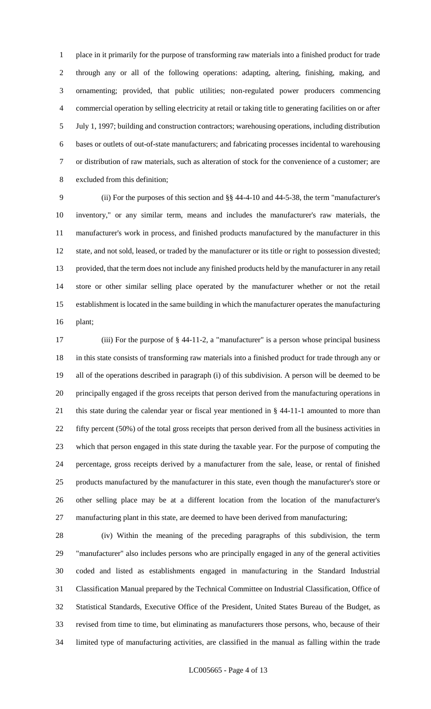place in it primarily for the purpose of transforming raw materials into a finished product for trade through any or all of the following operations: adapting, altering, finishing, making, and ornamenting; provided, that public utilities; non-regulated power producers commencing commercial operation by selling electricity at retail or taking title to generating facilities on or after July 1, 1997; building and construction contractors; warehousing operations, including distribution bases or outlets of out-of-state manufacturers; and fabricating processes incidental to warehousing or distribution of raw materials, such as alteration of stock for the convenience of a customer; are excluded from this definition;

 (ii) For the purposes of this section and §§ 44-4-10 and 44-5-38, the term "manufacturer's inventory," or any similar term, means and includes the manufacturer's raw materials, the manufacturer's work in process, and finished products manufactured by the manufacturer in this state, and not sold, leased, or traded by the manufacturer or its title or right to possession divested; provided, that the term does not include any finished products held by the manufacturer in any retail store or other similar selling place operated by the manufacturer whether or not the retail establishment is located in the same building in which the manufacturer operates the manufacturing plant;

 (iii) For the purpose of § 44-11-2, a "manufacturer" is a person whose principal business in this state consists of transforming raw materials into a finished product for trade through any or all of the operations described in paragraph (i) of this subdivision. A person will be deemed to be principally engaged if the gross receipts that person derived from the manufacturing operations in this state during the calendar year or fiscal year mentioned in § 44-11-1 amounted to more than fifty percent (50%) of the total gross receipts that person derived from all the business activities in which that person engaged in this state during the taxable year. For the purpose of computing the percentage, gross receipts derived by a manufacturer from the sale, lease, or rental of finished products manufactured by the manufacturer in this state, even though the manufacturer's store or other selling place may be at a different location from the location of the manufacturer's manufacturing plant in this state, are deemed to have been derived from manufacturing;

 (iv) Within the meaning of the preceding paragraphs of this subdivision, the term "manufacturer" also includes persons who are principally engaged in any of the general activities coded and listed as establishments engaged in manufacturing in the Standard Industrial Classification Manual prepared by the Technical Committee on Industrial Classification, Office of Statistical Standards, Executive Office of the President, United States Bureau of the Budget, as revised from time to time, but eliminating as manufacturers those persons, who, because of their limited type of manufacturing activities, are classified in the manual as falling within the trade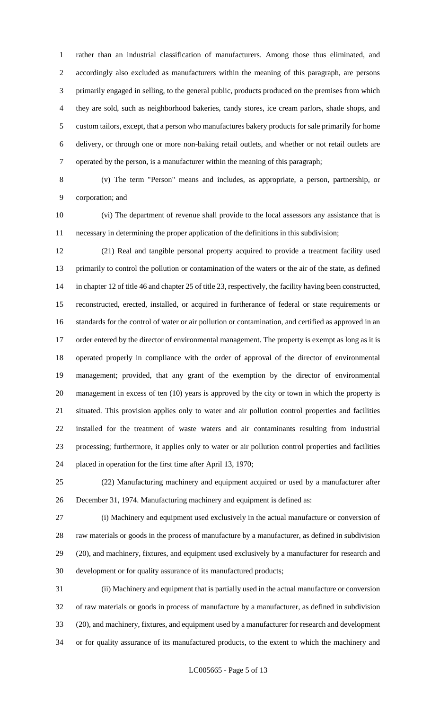rather than an industrial classification of manufacturers. Among those thus eliminated, and accordingly also excluded as manufacturers within the meaning of this paragraph, are persons primarily engaged in selling, to the general public, products produced on the premises from which they are sold, such as neighborhood bakeries, candy stores, ice cream parlors, shade shops, and custom tailors, except, that a person who manufactures bakery products for sale primarily for home delivery, or through one or more non-baking retail outlets, and whether or not retail outlets are operated by the person, is a manufacturer within the meaning of this paragraph;

 (v) The term "Person" means and includes, as appropriate, a person, partnership, or corporation; and

 (vi) The department of revenue shall provide to the local assessors any assistance that is necessary in determining the proper application of the definitions in this subdivision;

 (21) Real and tangible personal property acquired to provide a treatment facility used primarily to control the pollution or contamination of the waters or the air of the state, as defined in chapter 12 of title 46 and chapter 25 of title 23, respectively, the facility having been constructed, reconstructed, erected, installed, or acquired in furtherance of federal or state requirements or standards for the control of water or air pollution or contamination, and certified as approved in an 17 order entered by the director of environmental management. The property is exempt as long as it is operated properly in compliance with the order of approval of the director of environmental management; provided, that any grant of the exemption by the director of environmental management in excess of ten (10) years is approved by the city or town in which the property is situated. This provision applies only to water and air pollution control properties and facilities installed for the treatment of waste waters and air contaminants resulting from industrial processing; furthermore, it applies only to water or air pollution control properties and facilities placed in operation for the first time after April 13, 1970;

 (22) Manufacturing machinery and equipment acquired or used by a manufacturer after December 31, 1974. Manufacturing machinery and equipment is defined as:

 (i) Machinery and equipment used exclusively in the actual manufacture or conversion of raw materials or goods in the process of manufacture by a manufacturer, as defined in subdivision (20), and machinery, fixtures, and equipment used exclusively by a manufacturer for research and development or for quality assurance of its manufactured products;

 (ii) Machinery and equipment that is partially used in the actual manufacture or conversion of raw materials or goods in process of manufacture by a manufacturer, as defined in subdivision (20), and machinery, fixtures, and equipment used by a manufacturer for research and development or for quality assurance of its manufactured products, to the extent to which the machinery and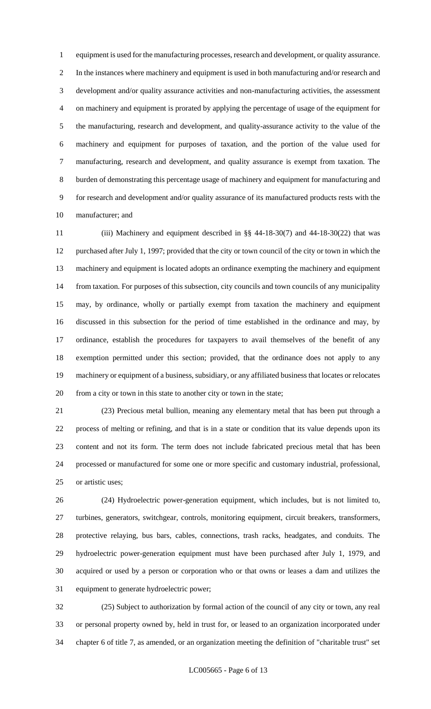equipment is used for the manufacturing processes, research and development, or quality assurance. In the instances where machinery and equipment is used in both manufacturing and/or research and development and/or quality assurance activities and non-manufacturing activities, the assessment on machinery and equipment is prorated by applying the percentage of usage of the equipment for the manufacturing, research and development, and quality-assurance activity to the value of the machinery and equipment for purposes of taxation, and the portion of the value used for manufacturing, research and development, and quality assurance is exempt from taxation. The burden of demonstrating this percentage usage of machinery and equipment for manufacturing and for research and development and/or quality assurance of its manufactured products rests with the manufacturer; and

 (iii) Machinery and equipment described in §§ 44-18-30(7) and 44-18-30(22) that was purchased after July 1, 1997; provided that the city or town council of the city or town in which the machinery and equipment is located adopts an ordinance exempting the machinery and equipment from taxation. For purposes of this subsection, city councils and town councils of any municipality may, by ordinance, wholly or partially exempt from taxation the machinery and equipment discussed in this subsection for the period of time established in the ordinance and may, by ordinance, establish the procedures for taxpayers to avail themselves of the benefit of any exemption permitted under this section; provided, that the ordinance does not apply to any machinery or equipment of a business, subsidiary, or any affiliated business that locates or relocates from a city or town in this state to another city or town in the state;

 (23) Precious metal bullion, meaning any elementary metal that has been put through a process of melting or refining, and that is in a state or condition that its value depends upon its content and not its form. The term does not include fabricated precious metal that has been processed or manufactured for some one or more specific and customary industrial, professional, or artistic uses;

 (24) Hydroelectric power-generation equipment, which includes, but is not limited to, turbines, generators, switchgear, controls, monitoring equipment, circuit breakers, transformers, protective relaying, bus bars, cables, connections, trash racks, headgates, and conduits. The hydroelectric power-generation equipment must have been purchased after July 1, 1979, and acquired or used by a person or corporation who or that owns or leases a dam and utilizes the equipment to generate hydroelectric power;

 (25) Subject to authorization by formal action of the council of any city or town, any real or personal property owned by, held in trust for, or leased to an organization incorporated under chapter 6 of title 7, as amended, or an organization meeting the definition of "charitable trust" set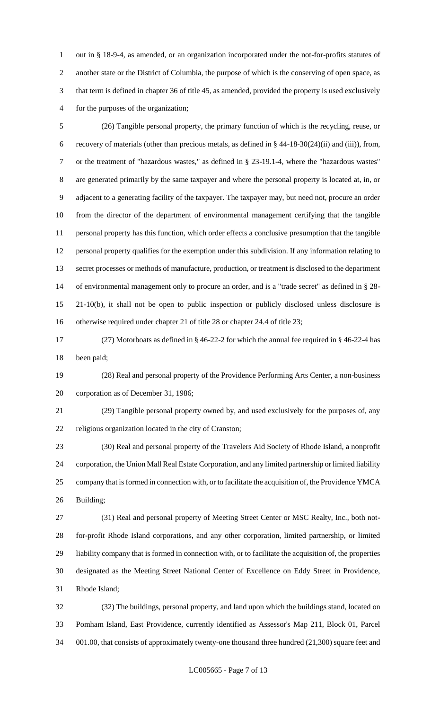out in § 18-9-4, as amended, or an organization incorporated under the not-for-profits statutes of another state or the District of Columbia, the purpose of which is the conserving of open space, as that term is defined in chapter 36 of title 45, as amended, provided the property is used exclusively for the purposes of the organization;

 (26) Tangible personal property, the primary function of which is the recycling, reuse, or recovery of materials (other than precious metals, as defined in § 44-18-30(24)(ii) and (iii)), from, or the treatment of "hazardous wastes," as defined in § 23-19.1-4, where the "hazardous wastes" are generated primarily by the same taxpayer and where the personal property is located at, in, or adjacent to a generating facility of the taxpayer. The taxpayer may, but need not, procure an order from the director of the department of environmental management certifying that the tangible personal property has this function, which order effects a conclusive presumption that the tangible personal property qualifies for the exemption under this subdivision. If any information relating to secret processes or methods of manufacture, production, or treatment is disclosed to the department of environmental management only to procure an order, and is a "trade secret" as defined in § 28- 21-10(b), it shall not be open to public inspection or publicly disclosed unless disclosure is otherwise required under chapter 21 of title 28 or chapter 24.4 of title 23;

 (27) Motorboats as defined in § 46-22-2 for which the annual fee required in § 46-22-4 has been paid;

 (28) Real and personal property of the Providence Performing Arts Center, a non-business corporation as of December 31, 1986;

 (29) Tangible personal property owned by, and used exclusively for the purposes of, any religious organization located in the city of Cranston;

 (30) Real and personal property of the Travelers Aid Society of Rhode Island, a nonprofit corporation, the Union Mall Real Estate Corporation, and any limited partnership or limited liability company that is formed in connection with, or to facilitate the acquisition of, the Providence YMCA Building;

 (31) Real and personal property of Meeting Street Center or MSC Realty, Inc., both not- for-profit Rhode Island corporations, and any other corporation, limited partnership, or limited liability company that is formed in connection with, or to facilitate the acquisition of, the properties designated as the Meeting Street National Center of Excellence on Eddy Street in Providence, Rhode Island;

 (32) The buildings, personal property, and land upon which the buildings stand, located on Pomham Island, East Providence, currently identified as Assessor's Map 211, Block 01, Parcel 001.00, that consists of approximately twenty-one thousand three hundred (21,300) square feet and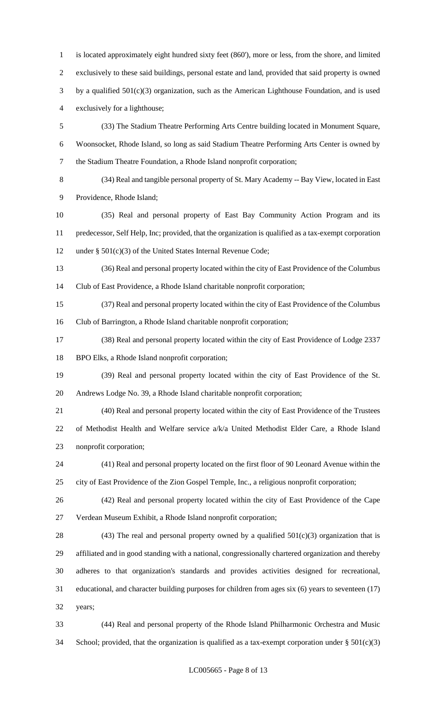is located approximately eight hundred sixty feet (860'), more or less, from the shore, and limited exclusively to these said buildings, personal estate and land, provided that said property is owned by a qualified 501(c)(3) organization, such as the American Lighthouse Foundation, and is used exclusively for a lighthouse; (33) The Stadium Theatre Performing Arts Centre building located in Monument Square, Woonsocket, Rhode Island, so long as said Stadium Theatre Performing Arts Center is owned by the Stadium Theatre Foundation, a Rhode Island nonprofit corporation;

 (34) Real and tangible personal property of St. Mary Academy -- Bay View, located in East Providence, Rhode Island;

 (35) Real and personal property of East Bay Community Action Program and its predecessor, Self Help, Inc; provided, that the organization is qualified as a tax-exempt corporation under § 501(c)(3) of the United States Internal Revenue Code;

 (36) Real and personal property located within the city of East Providence of the Columbus Club of East Providence, a Rhode Island charitable nonprofit corporation;

 (37) Real and personal property located within the city of East Providence of the Columbus Club of Barrington, a Rhode Island charitable nonprofit corporation;

 (38) Real and personal property located within the city of East Providence of Lodge 2337 BPO Elks, a Rhode Island nonprofit corporation;

 (39) Real and personal property located within the city of East Providence of the St. Andrews Lodge No. 39, a Rhode Island charitable nonprofit corporation;

 (40) Real and personal property located within the city of East Providence of the Trustees of Methodist Health and Welfare service a/k/a United Methodist Elder Care, a Rhode Island nonprofit corporation;

 (41) Real and personal property located on the first floor of 90 Leonard Avenue within the city of East Providence of the Zion Gospel Temple, Inc., a religious nonprofit corporation;

 (42) Real and personal property located within the city of East Providence of the Cape Verdean Museum Exhibit, a Rhode Island nonprofit corporation;

28 (43) The real and personal property owned by a qualified  $501(c)(3)$  organization that is affiliated and in good standing with a national, congressionally chartered organization and thereby adheres to that organization's standards and provides activities designed for recreational, educational, and character building purposes for children from ages six (6) years to seventeen (17) years;

 (44) Real and personal property of the Rhode Island Philharmonic Orchestra and Music 34 School; provided, that the organization is qualified as a tax-exempt corporation under  $\S 501(c)(3)$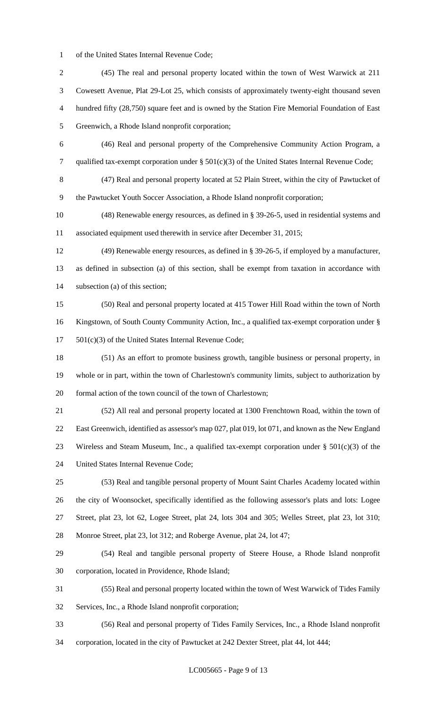of the United States Internal Revenue Code;

 (45) The real and personal property located within the town of West Warwick at 211 Cowesett Avenue, Plat 29-Lot 25, which consists of approximately twenty-eight thousand seven hundred fifty (28,750) square feet and is owned by the Station Fire Memorial Foundation of East Greenwich, a Rhode Island nonprofit corporation; (46) Real and personal property of the Comprehensive Community Action Program, a qualified tax-exempt corporation under § 501(c)(3) of the United States Internal Revenue Code; (47) Real and personal property located at 52 Plain Street, within the city of Pawtucket of the Pawtucket Youth Soccer Association, a Rhode Island nonprofit corporation; (48) Renewable energy resources, as defined in § 39-26-5, used in residential systems and associated equipment used therewith in service after December 31, 2015; (49) Renewable energy resources, as defined in § 39-26-5, if employed by a manufacturer, as defined in subsection (a) of this section, shall be exempt from taxation in accordance with subsection (a) of this section; (50) Real and personal property located at 415 Tower Hill Road within the town of North Kingstown, of South County Community Action, Inc., a qualified tax-exempt corporation under § 501(c)(3) of the United States Internal Revenue Code; (51) As an effort to promote business growth, tangible business or personal property, in whole or in part, within the town of Charlestown's community limits, subject to authorization by formal action of the town council of the town of Charlestown; (52) All real and personal property located at 1300 Frenchtown Road, within the town of East Greenwich, identified as assessor's map 027, plat 019, lot 071, and known as the New England 23 Wireless and Steam Museum, Inc., a qualified tax-exempt corporation under  $\S 501(c)(3)$  of the United States Internal Revenue Code; (53) Real and tangible personal property of Mount Saint Charles Academy located within the city of Woonsocket, specifically identified as the following assessor's plats and lots: Logee Street, plat 23, lot 62, Logee Street, plat 24, lots 304 and 305; Welles Street, plat 23, lot 310; Monroe Street, plat 23, lot 312; and Roberge Avenue, plat 24, lot 47; (54) Real and tangible personal property of Steere House, a Rhode Island nonprofit corporation, located in Providence, Rhode Island; (55) Real and personal property located within the town of West Warwick of Tides Family Services, Inc., a Rhode Island nonprofit corporation; (56) Real and personal property of Tides Family Services, Inc., a Rhode Island nonprofit corporation, located in the city of Pawtucket at 242 Dexter Street, plat 44, lot 444;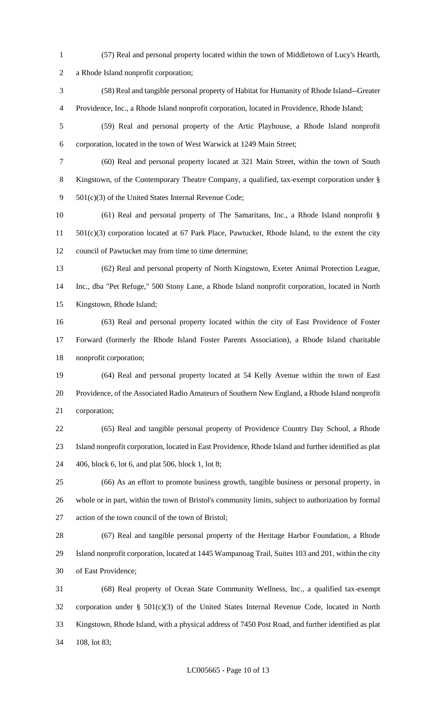- (57) Real and personal property located within the town of Middletown of Lucy's Hearth, a Rhode Island nonprofit corporation; (58) Real and tangible personal property of Habitat for Humanity of Rhode Island--Greater
- (59) Real and personal property of the Artic Playhouse, a Rhode Island nonprofit

Providence, Inc., a Rhode Island nonprofit corporation, located in Providence, Rhode Island;

- corporation, located in the town of West Warwick at 1249 Main Street;
- (60) Real and personal property located at 321 Main Street, within the town of South Kingstown, of the Contemporary Theatre Company, a qualified, tax-exempt corporation under § 501(c)(3) of the United States Internal Revenue Code;
- (61) Real and personal property of The Samaritans, Inc., a Rhode Island nonprofit § 501(c)(3) corporation located at 67 Park Place, Pawtucket, Rhode Island, to the extent the city council of Pawtucket may from time to time determine;
- (62) Real and personal property of North Kingstown, Exeter Animal Protection League, Inc., dba "Pet Refuge," 500 Stony Lane, a Rhode Island nonprofit corporation, located in North Kingstown, Rhode Island;
- (63) Real and personal property located within the city of East Providence of Foster Forward (formerly the Rhode Island Foster Parents Association), a Rhode Island charitable nonprofit corporation;
- (64) Real and personal property located at 54 Kelly Avenue within the town of East Providence, of the Associated Radio Amateurs of Southern New England, a Rhode Island nonprofit corporation;
- (65) Real and tangible personal property of Providence Country Day School, a Rhode Island nonprofit corporation, located in East Providence, Rhode Island and further identified as plat 406, block 6, lot 6, and plat 506, block 1, lot 8;
- (66) As an effort to promote business growth, tangible business or personal property, in whole or in part, within the town of Bristol's community limits, subject to authorization by formal action of the town council of the town of Bristol;
- (67) Real and tangible personal property of the Heritage Harbor Foundation, a Rhode Island nonprofit corporation, located at 1445 Wampanoag Trail, Suites 103 and 201, within the city of East Providence;
- (68) Real property of Ocean State Community Wellness, Inc., a qualified tax-exempt corporation under § 501(c)(3) of the United States Internal Revenue Code, located in North Kingstown, Rhode Island, with a physical address of 7450 Post Road, and further identified as plat 108, lot 83;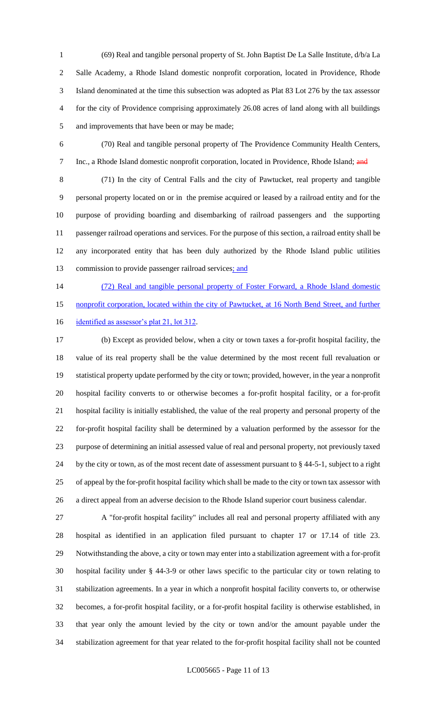(69) Real and tangible personal property of St. John Baptist De La Salle Institute, d/b/a La Salle Academy, a Rhode Island domestic nonprofit corporation, located in Providence, Rhode Island denominated at the time this subsection was adopted as Plat 83 Lot 276 by the tax assessor for the city of Providence comprising approximately 26.08 acres of land along with all buildings and improvements that have been or may be made;

 (70) Real and tangible personal property of The Providence Community Health Centers, 7 Inc., a Rhode Island domestic nonprofit corporation, located in Providence, Rhode Island; and

 (71) In the city of Central Falls and the city of Pawtucket, real property and tangible personal property located on or in the premise acquired or leased by a railroad entity and for the purpose of providing boarding and disembarking of railroad passengers and the supporting passenger railroad operations and services. For the purpose of this section, a railroad entity shall be any incorporated entity that has been duly authorized by the Rhode Island public utilities 13 commission to provide passenger railroad services; and

 (72) Real and tangible personal property of Foster Forward, a Rhode Island domestic 15 nonprofit corporation, located within the city of Pawtucket, at 16 North Bend Street, and further

16 identified as assessor's plat 21, lot 312.

 (b) Except as provided below, when a city or town taxes a for-profit hospital facility, the value of its real property shall be the value determined by the most recent full revaluation or statistical property update performed by the city or town; provided, however, in the year a nonprofit hospital facility converts to or otherwise becomes a for-profit hospital facility, or a for-profit hospital facility is initially established, the value of the real property and personal property of the for-profit hospital facility shall be determined by a valuation performed by the assessor for the purpose of determining an initial assessed value of real and personal property, not previously taxed by the city or town, as of the most recent date of assessment pursuant to § 44-5-1, subject to a right of appeal by the for-profit hospital facility which shall be made to the city or town tax assessor with a direct appeal from an adverse decision to the Rhode Island superior court business calendar.

 A "for-profit hospital facility" includes all real and personal property affiliated with any hospital as identified in an application filed pursuant to chapter 17 or 17.14 of title 23. Notwithstanding the above, a city or town may enter into a stabilization agreement with a for-profit hospital facility under § 44-3-9 or other laws specific to the particular city or town relating to stabilization agreements. In a year in which a nonprofit hospital facility converts to, or otherwise becomes, a for-profit hospital facility, or a for-profit hospital facility is otherwise established, in that year only the amount levied by the city or town and/or the amount payable under the stabilization agreement for that year related to the for-profit hospital facility shall not be counted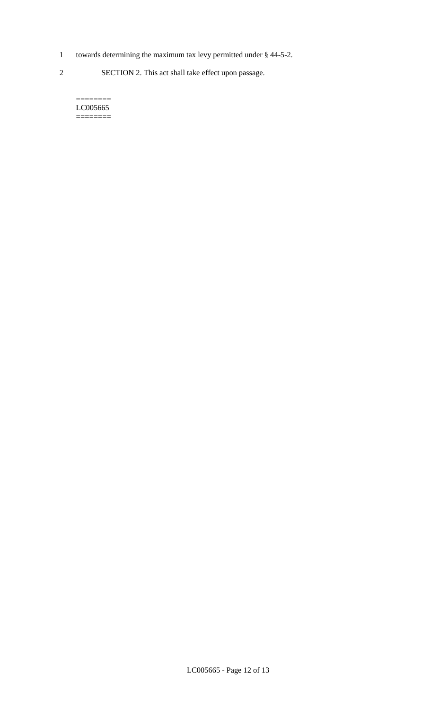- 1 towards determining the maximum tax levy permitted under § 44-5-2.
- 2 SECTION 2. This act shall take effect upon passage.

======== LC005665  $=$